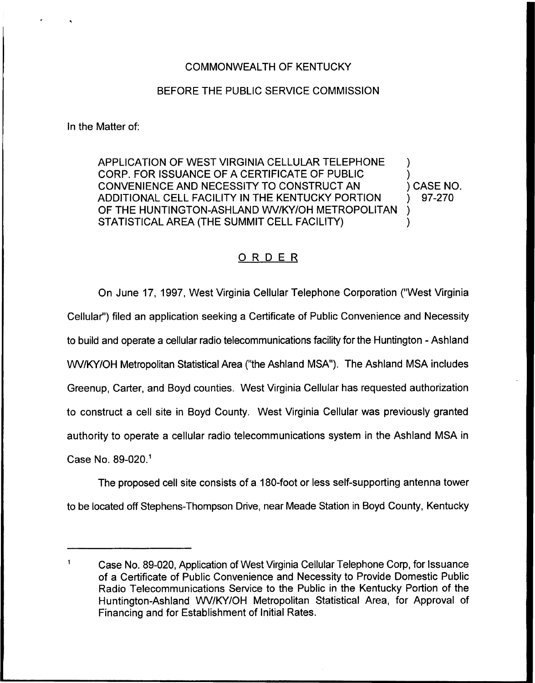## COMMONWEALTH OF KENTUCKY

## BEFORE THE PUBLIC SERVICE COMMISSION

In the Matter of:

APPLICATION OF WEST VIRGINIA CELLULAR TELEPHONE CORP. FOR ISSUANCE OF A CERTIFICATE OF PUBLIC CONVENIENCE AND NECESSITY TO CONSTRUCT AN ADDITIONAL CELL FACILITY IN THE KENTUCKY PORTION OF THE HUNTINGTON-ASHLAND WV/KY/OH METROPOLITAN STATISTICAL AREA (THE SUMMIT CELL FACILITY)

) CASE NO. ) 97-270

) )

)  $\overline{\phantom{a}}$ 

## ORDER

On June 17, 1997, West Virginia Cellular Telephone Corporation ("West Virginia Cellular") filed an application seeking a Certificate of Public Convenience and Necessit to build and operate a cellular radio telecommunications facility for the Huntington - Ashland WV/KY/OH Metropolitan Statistical Area ("the Ashland MSA"). The Ashland MSA includes Greenup, Carter, and Boyd counties. West Virginia Cellular has requested authorization to construct a cell site in Boyd County. West Virginia Cellular was previously granted authority to operate a cellular radio telecommunications system in the Ashland MSA in Case No. 89-020.<sup>1</sup>

The proposed cell site consists of a 180-foot or less self-supporting antenna tower to be located off Stephens-Thompson Drive, near Meade Station in Boyd County, Kentucky

 $\mathbf{1}$ Case No. 89-020, Application of West Virginia Cellular Telephone Corp, for Issuance of a Certificate of Public Convenience and Necessity to Provide Domestic Public Radio Telecommunications Service to the Public in the Kentucky Portion of the Huntington-Ashland WV/KY/OH Metropolitan Statistical Area, for Approval of Financing and for Establishment of Initial Rates.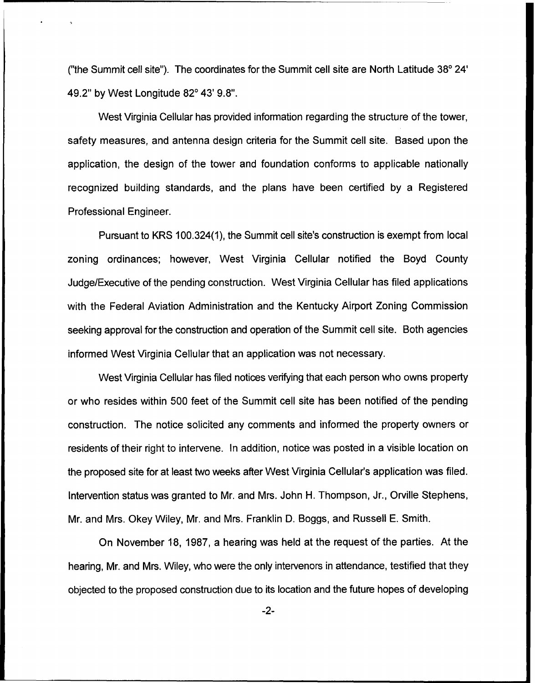("the Summit cell site"). The coordinates for the Summit cell site are North Latitude 49.2" by West Longitude 82° 43' 9.8".

West Virginia Cellular has provided information regarding the structure of the tower, safety measures, and antenna design criteria for the Summit cell site. Based upon the application, the design of the tower and foundation conforms to applicable nationally recognized building standards, and the plans have been certified by a Registered Professional Engineer.

Pursuant to KRS 100.324(1), the Summit cell site's construction is exempt from local zoning ordinances; however, West Virginia Cellular notified the Boyd County Judge/Executive of the pending construction. West Virginia Cellular has filed applications with the Federal Aviation Administration and the Kentucky Airport Zoning Commission seeking approval for the construction and operation of the Summit cell site. Both agencies informed West Virginia Cellular that an application was not necessary.

West Virginia Cellular has filed notices verifying that each person who owns property or who resides within 500 feet of the Summit cell site has been notified of the pending construction. The notice solicited any comments and informed the property owners or residents of their right to intervene. In addition, notice was posted in a visible location on the proposed site for at least two weeks after West Virginia Cellular's application was filed. Intervention status was granted to Mr. and Mrs. John H. Thompson, Jr., Orville Stephens, Mr. and Mrs. Okey Wiley, Mr. and Mrs. Franklin D. Boggs, and Russell E. Smith.

On November 18, 1987, a hearing was held at the request of the parties. At the hearing, Mr. and Mrs. Wiley, who were the only intervenors in attendance, testified that they objected to the proposed construction due to its location and the future hopes of developing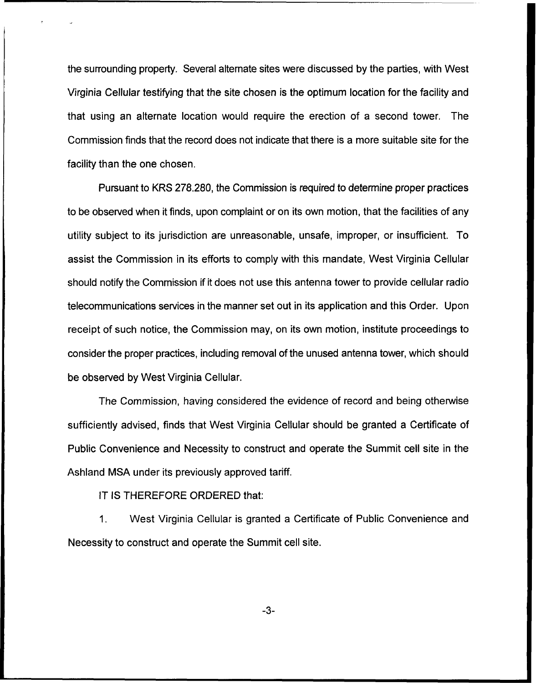the surrounding property. Several alternate sites were discussed by the parties, with West Virginia Cellular testifying that the site chosen is the optimum location for the facility and that using an alternate location would require the erection of a second tower. The Commission finds that the record does not indicate that there is a more suitable site for the facility than the one chosen.

Pursuant to KRS 278.280, the Commission is required to determine proper practices to be observed when it finds, upon complaint or on its own motion, that the facilities of any utility subject to its jurisdiction are unreasonable, unsafe, improper, or insufficient. To assist the Commission in its efforts to comply with this mandate, West Virginia Cellular should notify the Commission if it does not use this antenna tower to provide cellular radio telecommunications services in the manner set out in its application and this Order, Upon receipt of such notice, the Commission may, on its own motion, institute proceedings to consider the proper practices, including removal of the unused antenna tower, which should be observed by West Virginia Cellular.

The Commission, having considered the evidence of record and being otherwise sufficiently advised, finds that West Virginia Cellular should be granted a Certificate of Public Convenience and Necessity to construct and operate the Summit cell site in the Ashland MSA under its previously approved tariff.

IT IS THEREFORE ORDERED that:

1. West Virginia Cellular is granted a Certificate of Public Convenience and Necessity to construct and operate the Summit cell site.

 $-3-$